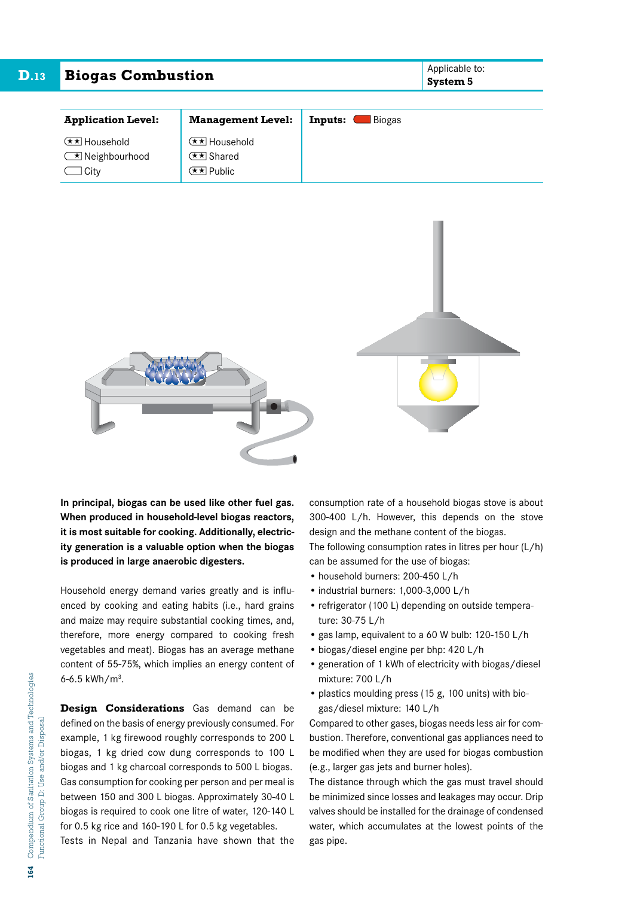| D.13 | <b>Biogas Combustion</b> | Applicable to:<br><b>System 5</b> |
|------|--------------------------|-----------------------------------|
|      |                          |                                   |

| <b>Application Level:</b>                                        | <b>Management Level:</b>                        | <b>Biogas</b><br>Inputs: |
|------------------------------------------------------------------|-------------------------------------------------|--------------------------|
| <b>E</b> ★ Household<br>$\sqrt{\bullet}$ Neighbourhood<br>l Citv | <b>E</b> ★ Household<br>E★ Shared<br>GEx∏Public |                          |



**In principal, biogas can be used like other fuel gas. When produced in household-level biogas reactors, it is most suitable for cooking. Additionally, electricity generation is a valuable option when the biogas is produced in large anaerobic digesters.**

Household energy demand varies greatly and is influenced by cooking and eating habits (i.e., hard grains and maize may require substantial cooking times, and, therefore, more energy compared to cooking fresh vegetables and meat). Biogas has an average methane content of 55-75%, which implies an energy content of 6-6.5  $kWh/m<sup>3</sup>$ .

**Design Considerations** Gas demand can be defined on the basis of energy previously consumed. For example, 1 kg firewood roughly corresponds to 200 L biogas, 1 kg dried cow dung corresponds to 100 L biogas and 1 kg charcoal corresponds to 500 L biogas. Gas consumption for cooking per person and per meal is between 150 and 300 L biogas. Approximately 30-40 L biogas is required to cook one litre of water, 120-140 L for 0.5 kg rice and 160-190 L for 0.5 kg vegetables.

Tests in Nepal and Tanzania have shown that the

consumption rate of a household biogas stove is about 300-400 L/h. However, this depends on the stove design and the methane content of the biogas. The following consumption rates in litres per hour (L/h)

- can be assumed for the use of biogas: • household burners: 200-450 L/h
- industrial burners: 1,000-3,000 L/h
- refrigerator (100 L) depending on outside temperature: 30-75 L/h
- gas lamp, equivalent to a 60 W bulb: 120-150 L/h
- biogas/diesel engine per bhp: 420 L/h
- generation of 1 kWh of electricity with biogas/diesel mixture: 700 L/h
- plastics moulding press (15 g, 100 units) with biogas/diesel mixture: 140 L/h

Compared to other gases, biogas needs less air for combustion. Therefore, conventional gas appliances need to be modified when they are used for biogas combustion (e.g., larger gas jets and burner holes).

The distance through which the gas must travel should be minimized since losses and leakages may occur. Drip valves should be installed for the drainage of condensed water, which accumulates at the lowest points of the gas pipe.